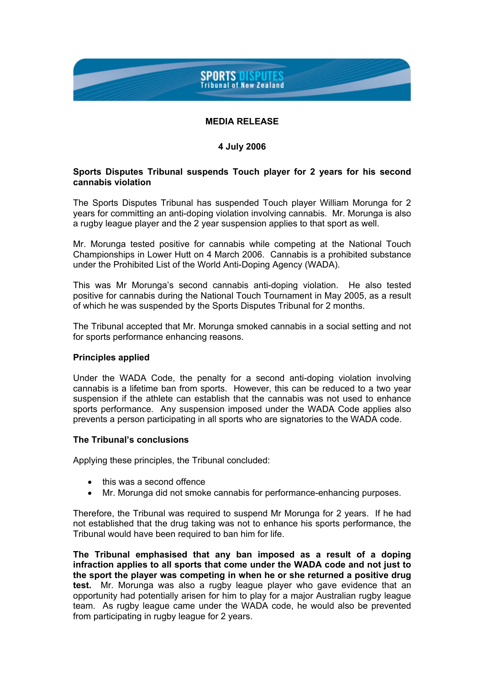# **SPORTS DISPUTES Tribunal of New Zealand**

## **MEDIA RELEASE**

## **4 July 2006**

### **Sports Disputes Tribunal suspends Touch player for 2 years for his second cannabis violation**

The Sports Disputes Tribunal has suspended Touch player William Morunga for 2 years for committing an anti-doping violation involving cannabis. Mr. Morunga is also a rugby league player and the 2 year suspension applies to that sport as well.

Mr. Morunga tested positive for cannabis while competing at the National Touch Championships in Lower Hutt on 4 March 2006. Cannabis is a prohibited substance under the Prohibited List of the World Anti-Doping Agency (WADA).

This was Mr Morunga's second cannabis anti-doping violation. He also tested positive for cannabis during the National Touch Tournament in May 2005, as a result of which he was suspended by the Sports Disputes Tribunal for 2 months.

The Tribunal accepted that Mr. Morunga smoked cannabis in a social setting and not for sports performance enhancing reasons.

### **Principles applied**

Under the WADA Code, the penalty for a second anti-doping violation involving cannabis is a lifetime ban from sports. However, this can be reduced to a two year suspension if the athlete can establish that the cannabis was not used to enhance sports performance. Any suspension imposed under the WADA Code applies also prevents a person participating in all sports who are signatories to the WADA code.

### **The Tribunal's conclusions**

Applying these principles, the Tribunal concluded:

- this was a second offence
- Mr. Morunga did not smoke cannabis for performance-enhancing purposes.

Therefore, the Tribunal was required to suspend Mr Morunga for 2 years. If he had not established that the drug taking was not to enhance his sports performance, the Tribunal would have been required to ban him for life.

**The Tribunal emphasised that any ban imposed as a result of a doping infraction applies to all sports that come under the WADA code and not just to the sport the player was competing in when he or she returned a positive drug test.** Mr. Morunga was also a rugby league player who gave evidence that an opportunity had potentially arisen for him to play for a major Australian rugby league team. As rugby league came under the WADA code, he would also be prevented from participating in rugby league for 2 years.